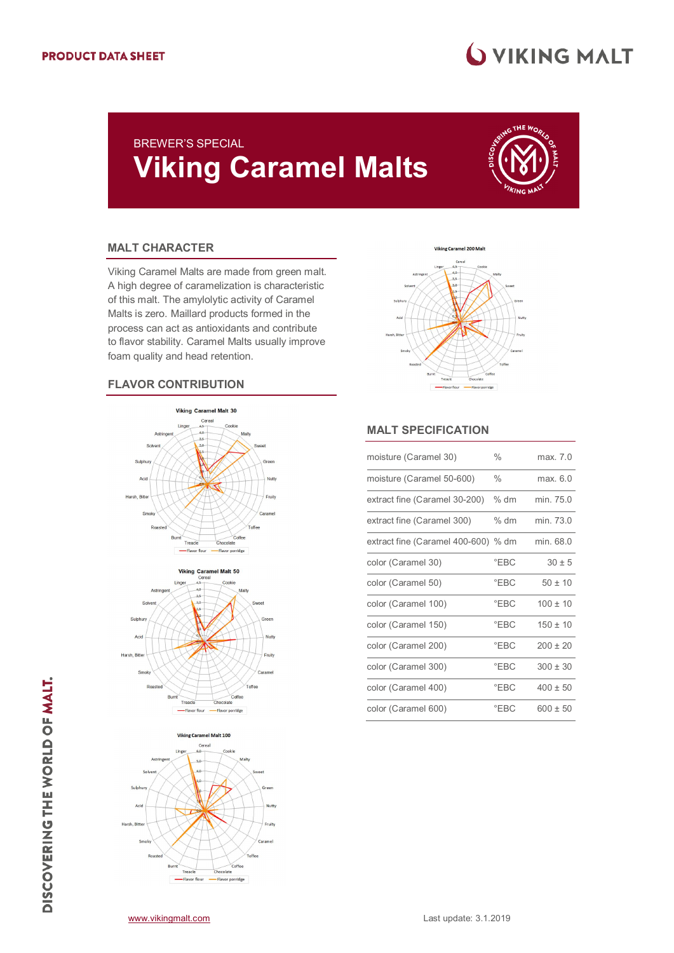## **WIKING MALT**

### BREWER'S SPECIAL **Viking Caramel Malts**



#### **MALT CHARACTER**

Viking Caramel Malts are made from green malt. A high degree of caramelization is characteristic of this malt. The amylolytic activity of Caramel Malts is zero. Maillard products formed in the process can act as antioxidants and contribute to flavor stability. Caramel Malts usually improve foam quality and head retention.

#### **FLAVOR CONTRIBUTION**









#### **MALT SPECIFICATION**

| moisture (Caramel 30)               | $\frac{0}{0}$ | max. 7.0     |
|-------------------------------------|---------------|--------------|
| moisture (Caramel 50-600)           | $\frac{0}{0}$ | max. 6.0     |
| extract fine (Caramel 30-200)       | $%$ dm        | min. 75.0    |
| extract fine (Caramel 300)          | $%$ dm        | $min$ 73 $0$ |
| extract fine (Caramel 400-600) % dm |               | min. 68.0    |
| color (Caramel 30)                  | $E$ BC        | $30 \pm 5$   |
| color (Caramel 50)                  | $E$ BC        | $50 + 10$    |
| color (Caramel 100)                 | EBC           | $100 \pm 10$ |
| color (Caramel 150)                 | $E$ BC        | $150 \pm 10$ |
| color (Caramel 200)                 | $\degree$ FBC | $200 + 20$   |
| color (Caramel 300)                 | $E$ BC        | $300 \pm 30$ |
| color (Caramel 400)                 | $E$ BC        | $400 \pm 50$ |
| color (Caramel 600)                 | $E$ BC        | $600 \pm 50$ |

DISCOVERING THE WORLD OF MALT.